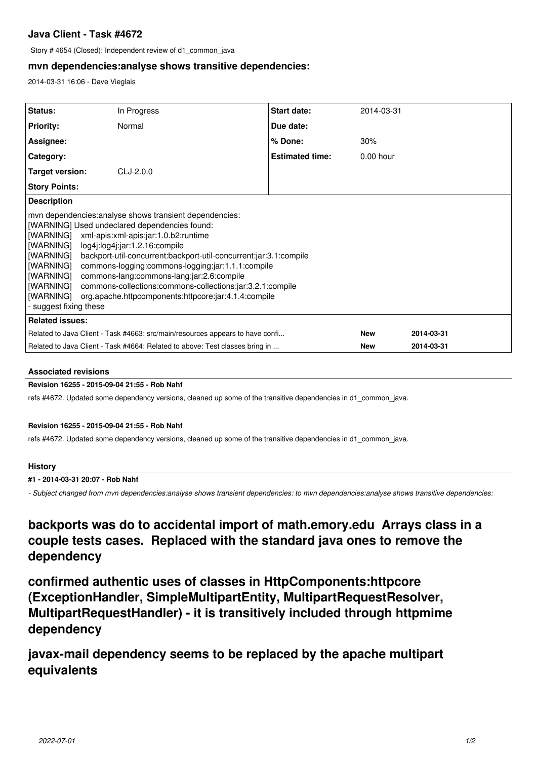# **Java Client - Task #4672**

Story # 4654 (Closed): Independent review of d1\_common\_java

## **mvn dependencies:analyse shows transitive dependencies:**

2014-03-31 16:06 - Dave Vieglais

| <b>Status:</b>                                                                                                                                                                                                                                                                                                                                                                                                                                                                                                                                                                         | In Progress | <b>Start date:</b>     | 2014-03-31  |            |
|----------------------------------------------------------------------------------------------------------------------------------------------------------------------------------------------------------------------------------------------------------------------------------------------------------------------------------------------------------------------------------------------------------------------------------------------------------------------------------------------------------------------------------------------------------------------------------------|-------------|------------------------|-------------|------------|
| <b>Priority:</b>                                                                                                                                                                                                                                                                                                                                                                                                                                                                                                                                                                       | Normal      | Due date:              |             |            |
| Assignee:                                                                                                                                                                                                                                                                                                                                                                                                                                                                                                                                                                              |             | % Done:                | 30%         |            |
| Category:                                                                                                                                                                                                                                                                                                                                                                                                                                                                                                                                                                              |             | <b>Estimated time:</b> | $0.00$ hour |            |
| Target version:                                                                                                                                                                                                                                                                                                                                                                                                                                                                                                                                                                        | $CLJ-2.0.0$ |                        |             |            |
| <b>Story Points:</b>                                                                                                                                                                                                                                                                                                                                                                                                                                                                                                                                                                   |             |                        |             |            |
| <b>Description</b>                                                                                                                                                                                                                                                                                                                                                                                                                                                                                                                                                                     |             |                        |             |            |
| mvn dependencies: analyse shows transient dependencies:<br>[WARNING] Used undeclared dependencies found:<br>[WARNING] xml-apis:xml-apis:jar:1.0.b2:runtime<br>[WARNING] log4j:log4j:jar:1.2.16:compile<br>[WARNING] backport-util-concurrent:backport-util-concurrent:jar:3.1:compile<br>[WARNING] commons-logging:commons-logging:jar:1.1.1:compile<br>[WARNING] commons-lang:commons-lang:jar:2.6:compile<br> [WARNING]<br>commons-collections:commons-collections:jar:3.2.1:compile<br>  warning <br>org.apache.httpcomponents:httpcore:jar:4.1.4:compile<br>- suggest fixing these |             |                        |             |            |
| <b>Related issues:</b>                                                                                                                                                                                                                                                                                                                                                                                                                                                                                                                                                                 |             |                        |             |            |
| Related to Java Client - Task #4663: src/main/resources appears to have confi                                                                                                                                                                                                                                                                                                                                                                                                                                                                                                          |             |                        | <b>New</b>  | 2014-03-31 |
| Related to Java Client - Task #4664: Related to above: Test classes bring in                                                                                                                                                                                                                                                                                                                                                                                                                                                                                                           |             |                        | <b>New</b>  | 2014-03-31 |

### **Associated revisions**

### **Revision 16255 - 2015-09-04 21:55 - Rob Nahf**

refs #4672. Updated some dependency versions, cleaned up some of the transitive dependencies in d1\_common\_java.

### **Revision 16255 - 2015-09-04 21:55 - Rob Nahf**

refs #4672. Updated some dependency versions, cleaned up some of the transitive dependencies in d1\_common\_java.

### **History**

### **#1 - 2014-03-31 20:07 - Rob Nahf**

*- Subject changed from mvn dependencies:analyse shows transient dependencies: to mvn dependencies:analyse shows transitive dependencies:*

**backports was do to accidental import of math.emory.edu Arrays class in a couple tests cases. Replaced with the standard java ones to remove the dependency**

**confirmed authentic uses of classes in HttpComponents:httpcore (ExceptionHandler, SimpleMultipartEntity, MultipartRequestResolver, MultipartRequestHandler) - it is transitively included through httpmime dependency**

**javax-mail dependency seems to be replaced by the apache multipart equivalents**